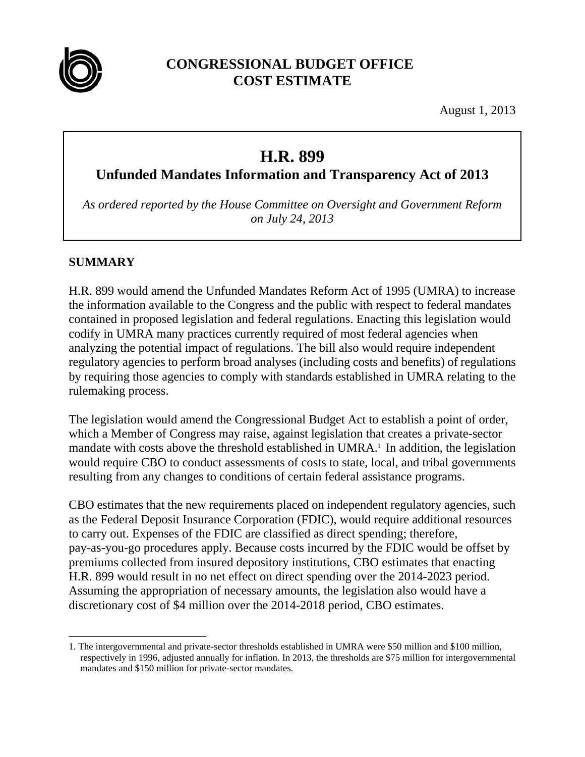

# **CONGRESSIONAL BUDGET OFFICE COST ESTIMATE**

August 1, 2013

# **H.R. 899**

**Unfunded Mandates Information and Transparency Act of 2013** 

*As ordered reported by the House Committee on Oversight and Government Reform on July 24, 2013* 

#### **SUMMARY**

H.R. 899 would amend the Unfunded Mandates Reform Act of 1995 (UMRA) to increase the information available to the Congress and the public with respect to federal mandates contained in proposed legislation and federal regulations. Enacting this legislation would codify in UMRA many practices currently required of most federal agencies when analyzing the potential impact of regulations. The bill also would require independent regulatory agencies to perform broad analyses (including costs and benefits) of regulations by requiring those agencies to comply with standards established in UMRA relating to the rulemaking process.

The legislation would amend the Congressional Budget Act to establish a point of order, which a Member of Congress may raise, against legislation that creates a private-sector mandate with costs above the threshold established in UMRA.<sup>1</sup> In addition, the legislation would require CBO to conduct assessments of costs to state, local, and tribal governments resulting from any changes to conditions of certain federal assistance programs.

CBO estimates that the new requirements placed on independent regulatory agencies, such as the Federal Deposit Insurance Corporation (FDIC), would require additional resources to carry out. Expenses of the FDIC are classified as direct spending; therefore, pay-as-you-go procedures apply. Because costs incurred by the FDIC would be offset by premiums collected from insured depository institutions, CBO estimates that enacting H.R. 899 would result in no net effect on direct spending over the 2014-2023 period. Assuming the appropriation of necessary amounts, the legislation also would have a discretionary cost of \$4 million over the 2014-2018 period, CBO estimates.

 $\overline{a}$ 1. The intergovernmental and private-sector thresholds established in UMRA were \$50 million and \$100 million, respectively in 1996, adjusted annually for inflation. In 2013, the thresholds are \$75 million for intergovernmental mandates and \$150 million for private-sector mandates.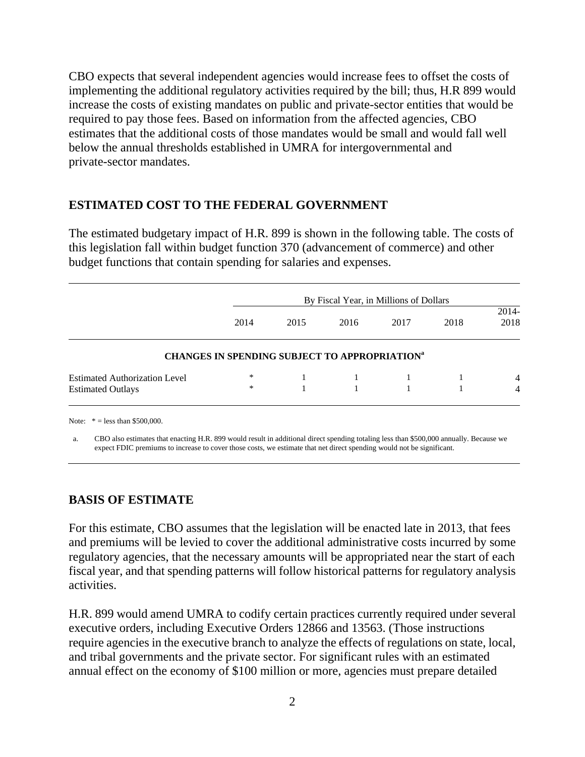CBO expects that several independent agencies would increase fees to offset the costs of implementing the additional regulatory activities required by the bill; thus, H.R 899 would increase the costs of existing mandates on public and private-sector entities that would be required to pay those fees. Based on information from the affected agencies, CBO estimates that the additional costs of those mandates would be small and would fall well below the annual thresholds established in UMRA for intergovernmental and private-sector mandates.

#### **ESTIMATED COST TO THE FEDERAL GOVERNMENT**

The estimated budgetary impact of H.R. 899 is shown in the following table. The costs of this legislation fall within budget function 370 (advancement of commerce) and other budget functions that contain spending for salaries and expenses.

|                                      |                                                           | By Fiscal Year, in Millions of Dollars |      |      |      |                 |  |
|--------------------------------------|-----------------------------------------------------------|----------------------------------------|------|------|------|-----------------|--|
|                                      | 2014                                                      | 2015                                   | 2016 | 2017 | 2018 | $2014-$<br>2018 |  |
|                                      | CHANGES IN SPENDING SUBJECT TO APPROPRIATION <sup>a</sup> |                                        |      |      |      |                 |  |
| <b>Estimated Authorization Level</b> | *                                                         |                                        |      |      |      | $\overline{4}$  |  |
| <b>Estimated Outlays</b>             | $\ast$                                                    |                                        |      |      |      | 4               |  |

Note:  $* =$  less than \$500,000.

a. CBO also estimates that enacting H.R. 899 would result in additional direct spending totaling less than \$500,000 annually. Because we expect FDIC premiums to increase to cover those costs, we estimate that net direct spending would not be significant.

#### **BASIS OF ESTIMATE**

For this estimate, CBO assumes that the legislation will be enacted late in 2013, that fees and premiums will be levied to cover the additional administrative costs incurred by some regulatory agencies, that the necessary amounts will be appropriated near the start of each fiscal year, and that spending patterns will follow historical patterns for regulatory analysis activities.

H.R. 899 would amend UMRA to codify certain practices currently required under several executive orders, including Executive Orders 12866 and 13563. (Those instructions require agencies in the executive branch to analyze the effects of regulations on state, local, and tribal governments and the private sector. For significant rules with an estimated annual effect on the economy of \$100 million or more, agencies must prepare detailed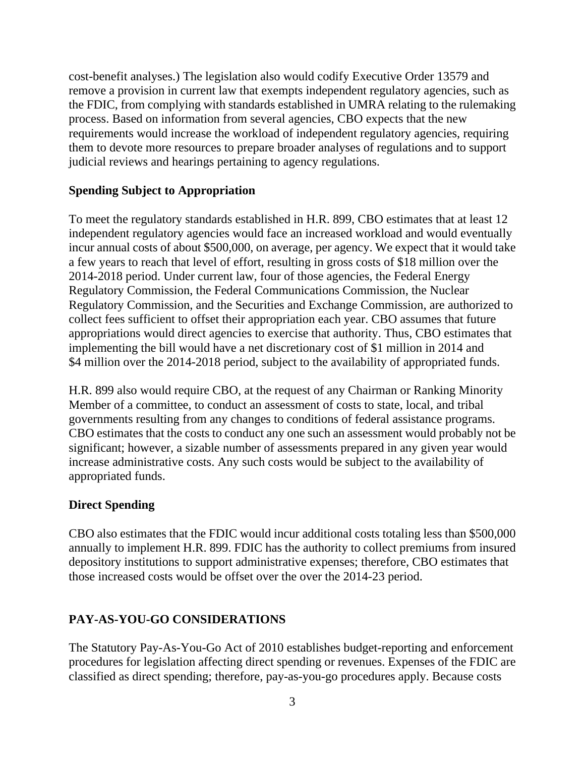cost-benefit analyses.) The legislation also would codify Executive Order 13579 and remove a provision in current law that exempts independent regulatory agencies, such as the FDIC, from complying with standards established in UMRA relating to the rulemaking process. Based on information from several agencies, CBO expects that the new requirements would increase the workload of independent regulatory agencies, requiring them to devote more resources to prepare broader analyses of regulations and to support judicial reviews and hearings pertaining to agency regulations.

#### **Spending Subject to Appropriation**

To meet the regulatory standards established in H.R. 899, CBO estimates that at least 12 independent regulatory agencies would face an increased workload and would eventually incur annual costs of about \$500,000, on average, per agency. We expect that it would take a few years to reach that level of effort, resulting in gross costs of \$18 million over the 2014-2018 period. Under current law, four of those agencies, the Federal Energy Regulatory Commission, the Federal Communications Commission, the Nuclear Regulatory Commission, and the Securities and Exchange Commission, are authorized to collect fees sufficient to offset their appropriation each year. CBO assumes that future appropriations would direct agencies to exercise that authority. Thus, CBO estimates that implementing the bill would have a net discretionary cost of \$1 million in 2014 and \$4 million over the 2014-2018 period, subject to the availability of appropriated funds.

H.R. 899 also would require CBO, at the request of any Chairman or Ranking Minority Member of a committee, to conduct an assessment of costs to state, local, and tribal governments resulting from any changes to conditions of federal assistance programs. CBO estimates that the costs to conduct any one such an assessment would probably not be significant; however, a sizable number of assessments prepared in any given year would increase administrative costs. Any such costs would be subject to the availability of appropriated funds.

## **Direct Spending**

CBO also estimates that the FDIC would incur additional costs totaling less than \$500,000 annually to implement H.R. 899. FDIC has the authority to collect premiums from insured depository institutions to support administrative expenses; therefore, CBO estimates that those increased costs would be offset over the over the 2014-23 period.

## **PAY-AS-YOU-GO CONSIDERATIONS**

The Statutory Pay-As-You-Go Act of 2010 establishes budget-reporting and enforcement procedures for legislation affecting direct spending or revenues. Expenses of the FDIC are classified as direct spending; therefore, pay-as-you-go procedures apply. Because costs